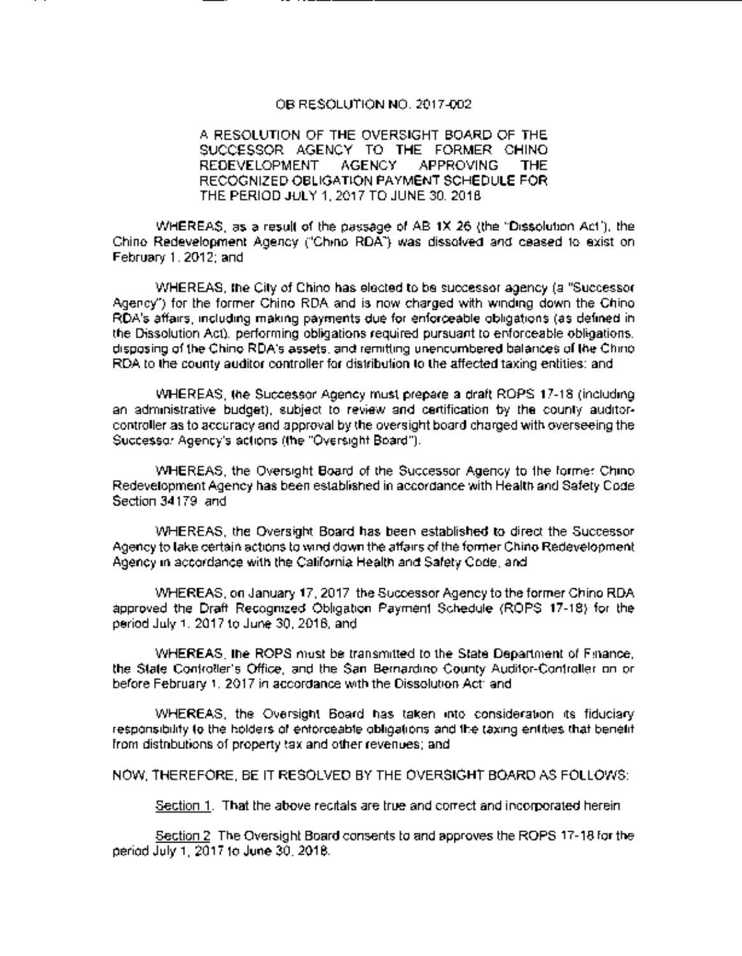### OB RESOLUTION NO. 2017-002

## A RESOLUTION OF THE OVERSIGHT BOARD OF THE SUCCESSOR AGENCY TO THE FORMER CHINO REDEVELOPMENT AGENCY APPROVING THE RECOGNIZED OBLIGATION PAYMENT SCHEDULE FOR THE PERIOD JULY 1, 2017 TO JUNE 30, 2018

WHEREAS, as a result of the passage of AB 1X 26 ( the " Dissolution Act"), the Chino Redevelopment Agency ("Chino RDA") was dissolved and ceased to exist on February 1, 2012; and

WHEREAS, the City of Chino has elected to be successor agency (a "Successor" Agency") for the former Chino RDA and is now charged with winding down the Chino RDA's affairs, including making payments due for enforceable obligations (as defined in the Dissolution Act), performing obligations required pursuant to enforceable obligations, disposing of the Chino RDA's assets, and remitting unencumbered balances of the Chino RDA to the county auditor controller for distribution to the affected taxing entities; and

WHEREAS, the Successor Agency must prepare a draft ROPS 17-18 (including an administrative budget), subject to review and certification by the county auditorcontroller as to accuracy and approval by the oversight board charged with overseeing the Successor Agency's actions (the "Oversight Board").

WHEREAS, the Oversight Board of the Successor Agency to the former Chino Redevelopment Agency has been established in accordance with Health and Safety Code Section 34179, and

WHEREAS, the Oversight Board has been established to direct the Successor Agency to take certain actions to wind down the affairs of the former Chino Redevelopment Agency in accordance with the California Health and Safety Code; and

WHEREAS, on January 17, 2017 the Successor Agency to the former Chino RDA approved the Draft Recognized Obligation Payment Schedule (ROPS 17-18) for the period July 1, 2017 to June 30, 2018; and

WHEREAS, the ROPS must be transmitted to the State Department of Finance, the State Controller' s Office, and the San Bernardino County Auditor-Controller on or before February 1, 2017 in accordance with the Dissolution Act; and

WHEREAS, the Oversight Board has taken into consideration its fiduciary responsibility to the holders of enforceable obligations and the taxing entities that benefit from distributions of property tax and other revenues; and

NOW, THEREFORE, BE IT RESOLVED BY THE OVERSIGHT BOARD AS FOLLOWS:

Section 1. That the above recitals are true and correct and incorporated herein.

Section 2. The Oversight Board consents to and approves the ROPS 17-18 for the period July 1, 2017 to June 30, 2018.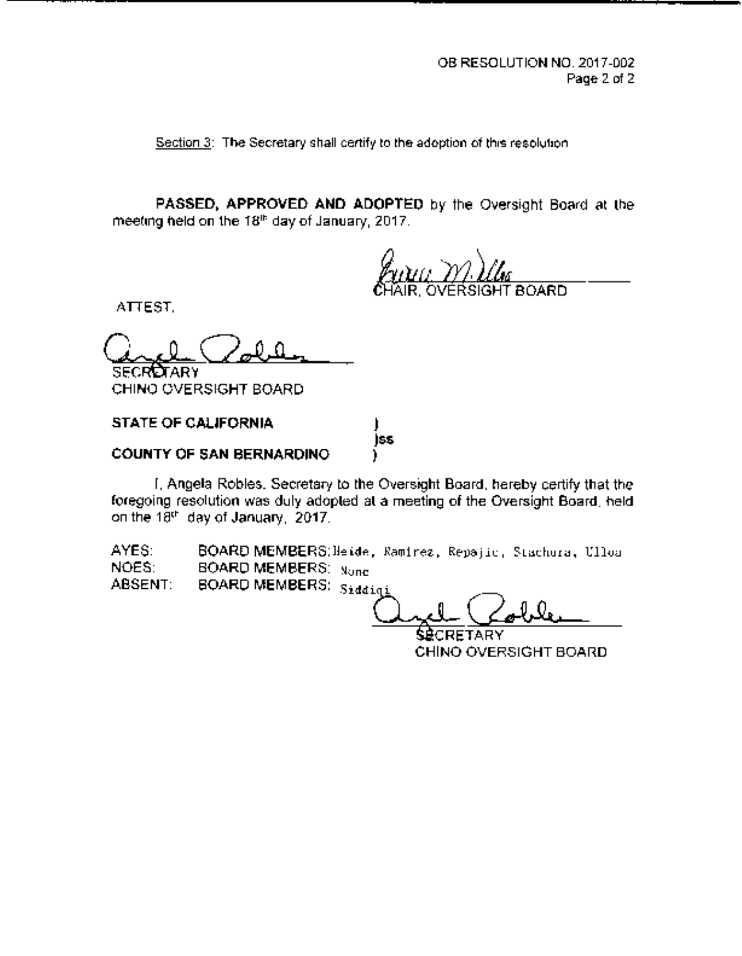Section 3: The Secretary shall certify to the adoption of this resolution.

PASSED, APPROVED AND ADOPTED by the Oversight Board at the meeting held on the 18th day of January, 2017.

7ARD.

ATTEST.

 $\mathcal{Q}$ SECRUTARY

CHINO OVERSIGHT BOARD

STATE OF CALIFORNIA ss COUNTY OF SAN BERNARDINO

I, Angela Robles, Secretary to the Oversight Board, hereby certify that the foregoing resolution was duly adopted at a meeting of the Oversight Board, held on the 18th day of January, 2017.

AYES: **BOARD MEMBERS:**Heide, Ramirez, Repajic, Stachura, Ulloa NOES: **BOARD MEMBERS**: Naga NOES: BOARD MEMBERS: None<br>ABSENT: BOARD MEMBERS: Scale

BOARD MEMBERS: Sidding

SÉCRETARY CHINO OVERSIGHT BOARD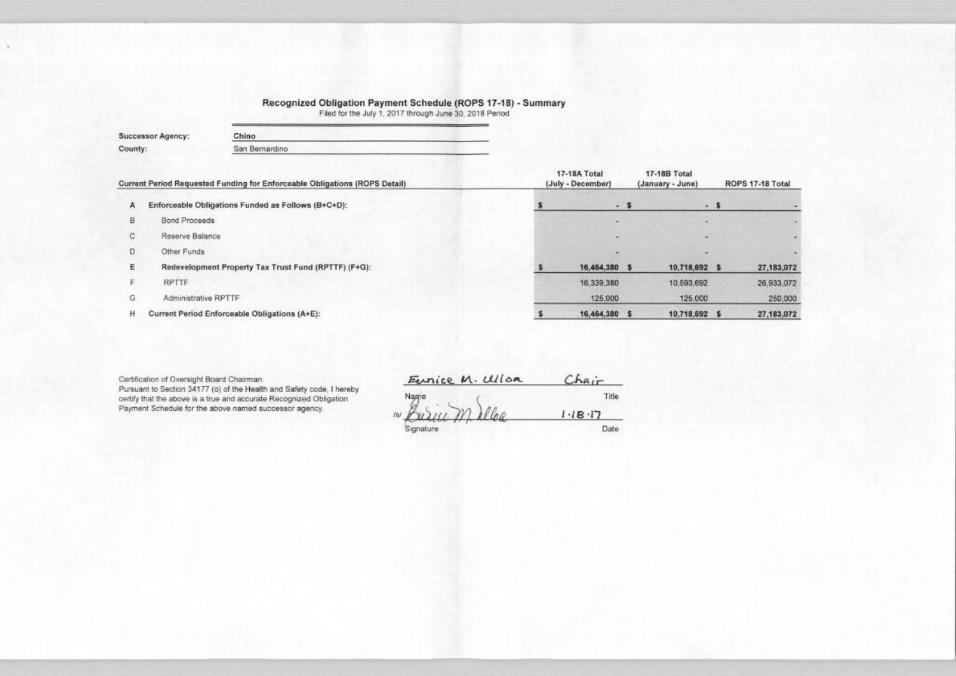# Recognized Obligation Payment Schedule (ROPS 17-18) - Summary<br>Filed for the July 1, 2017 through June 30, 2018 Period

| <b>Successor Agency:</b> | Chino          |  |  |  |  |  |
|--------------------------|----------------|--|--|--|--|--|
| County:                  | San Bernardino |  |  |  |  |  |
|                          |                |  |  |  |  |  |

|   | Current Period Requested Funding for Enforceable Obligations (ROPS Detail) | 17-18A Total<br>(July - December) | <b>17-18B Total</b><br>(January - June) |  |
|---|----------------------------------------------------------------------------|-----------------------------------|-----------------------------------------|--|
| А | Enforceable Obligations Funded as Follows (B+C+D):                         | - 5                               | - \$                                    |  |
| в | Bond Proceeds                                                              |                                   |                                         |  |
| С | Reserve Balance                                                            |                                   |                                         |  |
| Ð | Other Funds                                                                |                                   |                                         |  |
| ε | Redevelopment Property Tax Trust Fund (RPTTF) (F+G):                       | 16,464,380 \$                     | 10,718,692 \$                           |  |
|   | <b>RPTTF</b>                                                               | 16,339,380                        | 10,593,692                              |  |
| G | Administrative RPTTF                                                       | 125,000                           | 125,000                                 |  |
| н | Current Period Enforceable Obligations (A+E):                              | 16,464,380 \$                     | 10,718,692                              |  |

Certification of Oversight Board Chairman:

Pursuant to Section 34177 (o) of the Health and Safety code, I hereby certify that the above is a true and accurate Recognized Obligation Payment Schedule for the above named successor agency.

Eunice M. Ulloa Chair

Title  $1.18.17$ 

Signature

Date

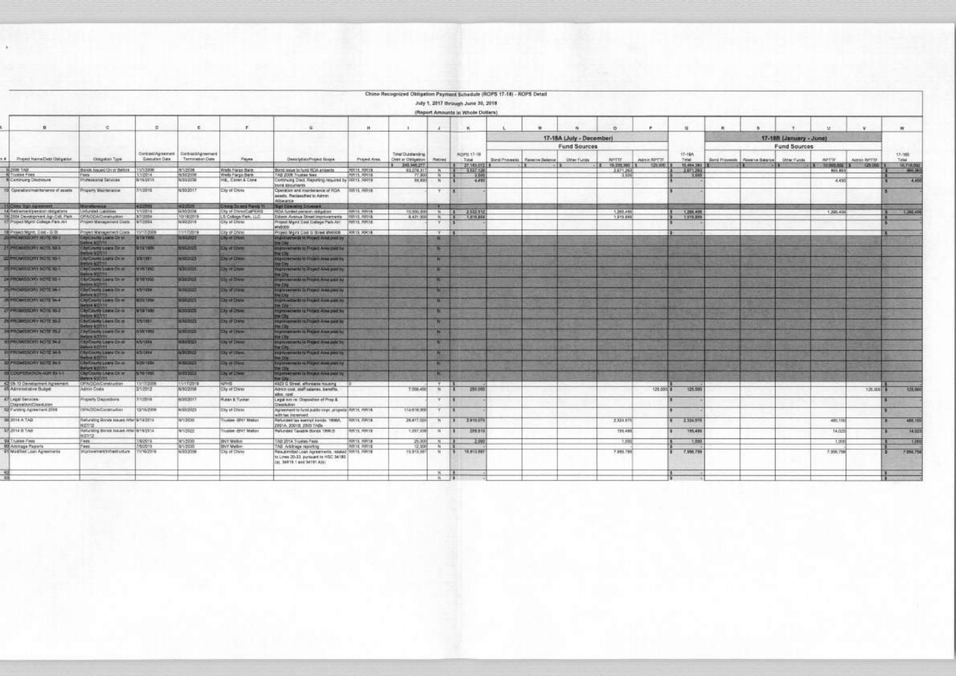$\overline{\phantom{a}}$ 

| (Report Amounts in Whole Dollars) |  |  |
|-----------------------------------|--|--|

|                                    |                                                                       |                                                                |                               |                                                             |                                           |                                                                                                                                                   |                               | Chino Recognized Obligation Payment Schedule (ROPS 17-18) - ROPS Detail |                       | July 1, 2017 through June 30, 2018<br>(Report Amounts in Whole Dollars) |                                 |                                                 |                             |               |                         |                                               |                                                |                                         |             |                      |
|------------------------------------|-----------------------------------------------------------------------|----------------------------------------------------------------|-------------------------------|-------------------------------------------------------------|-------------------------------------------|---------------------------------------------------------------------------------------------------------------------------------------------------|-------------------------------|-------------------------------------------------------------------------|-----------------------|-------------------------------------------------------------------------|---------------------------------|-------------------------------------------------|-----------------------------|---------------|-------------------------|-----------------------------------------------|------------------------------------------------|-----------------------------------------|-------------|----------------------|
|                                    | $\mathbf{u}$                                                          | $\epsilon$                                                     | 要                             | £.                                                          | ×                                         | $\alpha$                                                                                                                                          | 14.1                          |                                                                         | ×.                    |                                                                         |                                 |                                                 |                             |               | $\alpha$                |                                               |                                                |                                         |             | W.                   |
|                                    |                                                                       |                                                                |                               |                                                             |                                           |                                                                                                                                                   |                               |                                                                         |                       |                                                                         |                                 | 17-18A (July - December)<br><b>Fund Sources</b> |                             |               |                         |                                               | 17-18B (January - June)<br><b>Fund Sources</b> |                                         |             |                      |
|                                    | F# Project NameDebt Obligation                                        | Obligation Type                                                | <b>Greculter Date</b>         | Contrast/Agreemed:   Contrast/Agreement<br>Termination Date | Payee                                     | Description/Project Scope                                                                                                                         | Prijed Area                   | Total Distancing<br>Debt at Oklasijon                                   | Platting 3            | RDPS 17-18<br>Total                                                     | Dont Proceeds   Reserve Balance | Other Funds                                     | <b>APTIF.</b>               | Agesia RPITE  | 17-184<br>Total:        | Bord Proceeds   Reserve Balance   Other Funds |                                                | <b>AFTIF</b>                            | Agent APTIF | 17:199<br>Total      |
| SAT 897                            |                                                                       | Bands Issued Circle Bellos                                     | NOV2006                       | WAZERS.                                                     | Wells Forgo Baro,                         | Band more to fund RCA projects                                                                                                                    | <b>PUTTE, RIFEIS</b>          | 3 249, 348, 277<br>01270.31                                             |                       | $27.163.07219$ .<br>$\frac{1}{5}$ $\frac{1}{1}$ $\frac{102}{10}$        |                                 |                                                 | 1 16,229,380 1<br>2,671,267 | 1.729,000,880 | 15,454,393<br>3.87.1283 |                                               |                                                | 10.000.000 1<br>111<br><b>MAS, RICE</b> | 125 000   1 | 10.718.993<br>- 86.9 |
| Tirklee Fibes                      | В Селігигір Оказамле                                                  | <b>THE</b><br>Professional Services                            | 100914<br>8/16/2215           | 9/30/2938<br>5/20/2008                                      | Wells Electro Davis<br>H.E., Caren & Cone | AD 2008 Trustee fees.<br>bronuing Diect. Reporting required by pRR13. Roc19.                                                                      | PULTS, PIPETB                 | 77.900<br>59,850                                                        | N                     | 4.480                                                                   |                                 |                                                 |                             |               |                         |                                               |                                                | 4,450                                   |             | 145                  |
|                                    | 10) Operators marrianence of assets                                   | Property Maintenance                                           | 2/10010                       | 5/20/2017                                                   | <b>City of China</b>                      | <b>CENT REGULARIES</b><br>Operation and maintenance of RDA [RR 15, RR18]<br>annets. Reclassified to Admin.                                        |                               |                                                                         | Y.                    |                                                                         |                                 |                                                 |                             |               |                         |                                               |                                                |                                         |             |                      |
|                                    | 11 Came Days Aleksandra                                               | <b>Manufacturers</b>                                           | 4/207091                      | <b>HOTEL</b>                                                | Charg Street Roods Yr                     | Alberton<br>San Grenting Covenant                                                                                                                 |                               |                                                                         |                       |                                                                         |                                 |                                                 |                             |               |                         |                                               |                                                |                                         |             |                      |
|                                    | 14 Retrement pension obstrations<br>15 2004 Development Agr-Oak, Park | Unfunded Liabilities<br>CRADDAGWatschen                        | T/10014<br>3/7/2004           | 4/33/2014<br>10/18/2019                                     | 5 College Fam. LLC                        | City of DivisionalPERS  ROA funded persons obligation<br>Edeon Avenue Street Improvements 38R12, RR18                                             | . PERTS PIRTS                 | 12,900,00<br>1431 000                                                   | N<br>$\mathbb{R}$     | 2,532.93<br>101239<br>$\mathbf{H}$                                      |                                 |                                                 | 1,268,456<br>1.619.999      |               | 1266,498<br>1 579, 399  |                                               |                                                | 1,396,456                               |             | 1,266.45             |
|                                    | 17 Project Martit College Park AH                                     | Project Management Costs W10594                                |                               | N/30/2018                                                   | City of China                             | Progest Might Client College (Park AH: FRFL19, PIFL18)<br>WHATSOUR                                                                                |                               |                                                                         | Y.                    |                                                                         |                                 |                                                 |                             |               |                         |                                               |                                                |                                         |             |                      |
|                                    | 18 Project Mgmt, Cast - G St<br><b>JESPIECHARLSCHY NOTE MAIL</b>      | пунс Матадилил Сока   11/17/2008<br>Cay(County Loane C+ to     | <b>MINTRS</b>                 | turnate<br>10002005                                         | Litar of Cinino<br><b>Lity of Linese</b>  | Project Might Clief U Street #N9508 PORTS HIRTS<br>migravemente to Project Area paid by                                                           |                               |                                                                         | <b>V</b>              |                                                                         |                                 |                                                 |                             |               |                         |                                               |                                                |                                         |             |                      |
|                                    | 21 PROMISSIONY NOTE 49-1                                              | <b>PRINT GET/11</b><br><b>By Cracky Links On on</b>            | <b>SHET AT S</b>              | <b>COSTOL</b>                                               | <b>Clip of Orena</b>                      | <b>BESTER</b><br>specialties to Project Area paid by                                                                                              |                               |                                                                         | -                     |                                                                         |                                 |                                                 |                             |               |                         |                                               |                                                |                                         |             |                      |
|                                    | <b>JOSPHON ISBORY NOTE 00-1</b>                                       | mae light 11<br><b>City/County Livers On or </b>               | 25/1971                       | <b>EDGEOR</b>                                               | <b>City of Criver-</b>                    | <b>NESTAC</b><br>Spitzverseits lie Preject Aven posit by                                                                                          |                               |                                                                         | m                     |                                                                         |                                 |                                                 |                             |               |                         |                                               |                                                |                                         |             |                      |
|                                    | <b>EN PROMISSIONY NOTE RD-1</b>                                       | <b>MOVE BOTTLESS</b><br><b>RefCountly Loans On on-</b>         | <b>UNITED</b>                 | <b>SOUNDS</b>                                               | <b>City of Chang</b>                      | <b>BETWEEN</b><br><b>NATIONWICH IS PIECE AND BEELTY</b>                                                                                           |                               |                                                                         | - Pin                 |                                                                         |                                 |                                                 |                             |               |                         |                                               |                                                |                                         |             |                      |
|                                    | DALFRICAMISDORY HOTEL SU-F                                            | atus 5/27/11<br><b>HurtChiama Lasare On Gr.</b>                | <b>EYR 1995</b>               | <b>HOLD ON</b>                                              | <b>Lie at Chine</b>                       | <b>MARKET</b><br>provide audio to Propert Powe print by                                                                                           |                               |                                                                         | -10.7                 |                                                                         |                                 |                                                 |                             |               |                         |                                               |                                                |                                         |             |                      |
|                                    | <b>JA PROMISCORY HOTEL IN-1</b>                                       | <b>COMMITTEE</b><br>By Cracky Listers On an                    | <b>AB1194</b>                 | <b>MOVE</b>                                                 | <b>Characteristics</b>                    | 100<br>LEASYMPHOTEL CLAYSING AVAILABLE BY                                                                                                         |                               |                                                                         | 18.1                  |                                                                         |                                 |                                                 |                             |               |                         |                                               |                                                |                                         |             |                      |
|                                    | <b>ENGINESSORY NOTE 54-4</b>                                          | <b>International</b><br><b>By Casety Learn On or</b>           | WEEL TIGHT                    | 50,000                                                      | <b>Dig of Dany</b>                        | <b>MERCH</b><br>reconducts to Presid Area paid by                                                                                                 |                               |                                                                         | $\mathbf{u}$          |                                                                         |                                 |                                                 |                             |               |                         |                                               |                                                |                                         |             |                      |
|                                    | <b>ENR HIGH YHORNOWS</b>                                              | <b>FEYER BIGHTS</b><br><b>By County Lewis Circuit</b>          | <b>NTRYRED</b>                | 20/20/21                                                    | <b>Digital Chines</b>                     | <b>TH SAV !!</b><br>provenent is Preject Area port by                                                                                             |                               |                                                                         | ×                     |                                                                         |                                 |                                                 |                             |               |                         |                                               |                                                |                                         |             |                      |
|                                    | THE PROJECTION VIOLET DEAL                                            | <b>High state</b><br><b>CENTURING LOWER OR IN</b>              | <b>SS/TMS</b>                 | 119625                                                      | <b>Da al Crano</b>                        | <b>MAGES</b><br>pitcaments to Project Area paid by                                                                                                |                               |                                                                         | m                     |                                                                         |                                 |                                                 |                             |               |                         |                                               |                                                |                                         |             |                      |
|                                    | <b>VIRGIMESTORY NOTE USE</b>                                          | Hotel 6/27/11                                                  | <b>ASSYSTEM</b>               | <b>NEWS OF</b>                                              | <b>Dig at O'ere</b>                       | the City<br>provenients to Project Americans by                                                                                                   |                               |                                                                         |                       |                                                                         |                                 |                                                 |                             |               |                         |                                               |                                                |                                         |             |                      |
|                                    |                                                                       | <b>Coyothiumy Livers Ox er -</b><br><b>Grass NOVIT</b>         |                               |                                                             |                                           | <b>THE CITY</b>                                                                                                                                   |                               |                                                                         |                       |                                                                         |                                 |                                                 |                             |               |                         |                                               |                                                |                                         |             |                      |
|                                    | SEPROMISIONY NOTE 34-2                                                | City/Crossing Lawren Cross-<br><b>MADE ROOMS</b>               | 45/1204                       | <b>CONTROL</b>                                              | to of Dress                               | tynyversets to Project Ansk paint by<br>the City                                                                                                  |                               |                                                                         |                       |                                                                         |                                 |                                                 |                             |               |                         |                                               |                                                |                                         |             |                      |
|                                    | <b>INFORMATION'S NO TO SAIN</b>                                       | By County Lawre On in<br><b>HYSTER RANGE</b>                   | 43/1994                       | 55,000                                                      | <b>Dig of Liferra</b>                     | <b>Eprovements to Preped Aves part by</b><br>the City                                                                                             |                               |                                                                         |                       |                                                                         |                                 |                                                 |                             |               |                         |                                               |                                                |                                         |             |                      |
|                                    | <b>SZPROWOOONY NOTE 941</b>                                           | <b>By Chartle Loans Co. in</b><br><b>International Account</b> | 9/25/12Ds                     | 120023                                                      | <b>The art Offices</b>                    | <b>SERVICES IN PRESIDENT POSTAGE</b><br><b>DECKS</b>                                                                                              |                               |                                                                         | man.                  |                                                                         |                                 |                                                 |                             |               |                         |                                               |                                                |                                         |             |                      |
|                                    | <b>IN COOPERATION AGR 13-1-1</b>                                      | <b>Clip/County Liverin Ct. er.</b><br><b>More Significant</b>  | <b>E 70 T POL</b>             | <b>TITALE</b>                                               | <b>The of Chang</b>                       | <b>Sprayer vents in Present Area mainly</b><br><b>BO CAVIT</b>                                                                                    |                               |                                                                         |                       |                                                                         |                                 |                                                 |                             |               |                         |                                               |                                                |                                         |             |                      |
| <b><i>BS Astronomers Buset</i></b> | 42 05-10 Development Agreement                                        | OPACOA/Construction<br>Admin Costa                             | TIVT/V2008<br>010012          | <b>HITTOOTS</b><br>9/202018                                 | NPHS<br>City of Chine                     | 4923 G Street, affordable housing<br>Administrated assets a servered                                                                              |                               | 7.058.450                                                               | -9.1<br>$\mathcal{N}$ | 250.000                                                                 |                                 |                                                 |                             | 125 000 \$    | 125,000                 |                                               |                                                |                                         | 126,000 \$  | 124.00               |
| All Legal Services                 |                                                                       | Franerty Dispositions                                          | N102018                       | 11002041                                                    | <b>Ruters &amp; Turcher</b>               | aloc rost<br>Legal syn re: Chapcaline of Prep &                                                                                                   |                               |                                                                         | Y.                    |                                                                         |                                 |                                                 |                             |               |                         |                                               |                                                |                                         |             |                      |
|                                    | <b>Disposition Creenution</b>                                         | OPA/DOA/Construction                                           | <b>TATIVIOUS</b>              |                                                             |                                           | readabaseD                                                                                                                                        |                               |                                                                         |                       |                                                                         |                                 |                                                 |                             |               |                         |                                               |                                                |                                         |             |                      |
|                                    | 12 Fanding Agreement 2006                                             |                                                                |                               | <b>WELDER</b>                                               | Dig of DWss                               | Agreement to fund public trips, property (RRTS, RRTS)<br>with two increment.                                                                      |                               | 114,618,000                                                             |                       |                                                                         |                                 |                                                 |                             |               |                         |                                               |                                                |                                         |             |                      |
| <b>SE 2014 A TAD</b>               |                                                                       | Refunding Bonda teaued After Br19/2014<br>9027712              |                               | <b>N12020</b>                                               | Truslee (INT Matter)                      | Пеблийей Чах постой Болев: 1998А.<br>2001A, 2001B, 2003 TADs                                                                                      | FUEL FIRTH                    | 24, 817, 026                                                            | N                     | 2,810,071<br>2.8.                                                       |                                 |                                                 | 2,324,879                   |               | 2.324,975               |                                               |                                                | 489,100                                 |             | 485.10               |
| ST 2014 IL TABL                    |                                                                       | Retunding Bonda Issued Atter 6/19/2014<br>92772                |                               | 90/2922                                                     | YANNA YAN HANAN                           | Refunded Taxable Bonda 1998;51                                                                                                                    | <b>HHYL HHYB</b>              | 1,057,938                                                               | $^{14}$               | 209,918                                                                 |                                 |                                                 | 199,488                     |               | 195,488                 |                                               |                                                | 14,025                                  |             | 14.02                |
| <b>WA Trustee Firest</b>           |                                                                       | Fees:                                                          | <b>ANODER</b><br><b>MODES</b> | 95/2010<br>9/12030                                          | <b>HIVY Madon</b><br>INY Mellon           | TAB 2014 Trustee Pwint                                                                                                                            | HRTE HRTE<br><b>ARTS ARTS</b> | 25,000<br>12,500                                                        | W.                    | 2.99                                                                    |                                 |                                                 | 1,890                       |               | 1,993                   |                                               |                                                | 1,000                                   |             | 1.00                 |
| <b>BX</b> Adobsige Reports         | <b>ST Modified Loan Agreements</b>                                    | 7,885<br>Inorganisationality.com                               | 11/16/2018                    | HV33:2038                                                   | City of Chine                             | gnitrocer egentidak @A<br>Resubmitted Loan Agreements, related NR15, RR18<br>to Lines 20-33, pursuant to HSC 34189.<br>(a), 34819.1 460 34191 405 |                               | 15.913,997                                                              | $14$                  | 16,913,997                                                              |                                 |                                                 | 7.955.799                   |               | 7.956.799               |                                               |                                                | 7,056,758                               |             | 7.550.TB             |
|                                    |                                                                       |                                                                |                               |                                                             |                                           |                                                                                                                                                   |                               |                                                                         | 备                     |                                                                         |                                 |                                                 |                             |               |                         |                                               |                                                |                                         |             |                      |
|                                    |                                                                       |                                                                |                               |                                                             |                                           |                                                                                                                                                   |                               |                                                                         | $-11 - 21$            |                                                                         |                                 |                                                 |                             |               |                         |                                               |                                                |                                         |             |                      |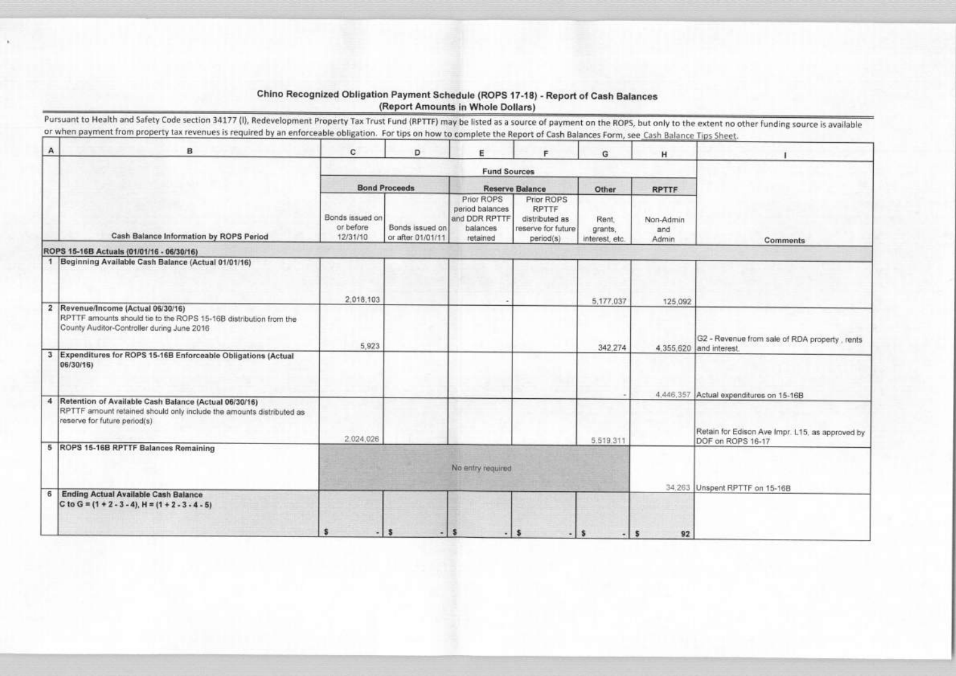## Chino Recognized Obligation Payment Schedule (ROPS 17-18) - Report of Cash Balances (Report Amounts in Whole Dollars)

Pursuant to Health and Safety Code section 34177 (I), Redevelopment Property Tax Trust Fund (RPTTF) may be listed as a source of payment on the ROPS, but only to the extent no other funding source is available or when payment from property tax revenues is required by an enforceable obligation. For tips on how to complete the Report of Cash Balances Form, see Cash Balance Tips She

| А | в                                                                                                                                                               | c                                        | D                                    | E                                                                      | F                                                                               | G                                  | H                         |          |
|---|-----------------------------------------------------------------------------------------------------------------------------------------------------------------|------------------------------------------|--------------------------------------|------------------------------------------------------------------------|---------------------------------------------------------------------------------|------------------------------------|---------------------------|----------|
|   |                                                                                                                                                                 |                                          |                                      | <b>Fund Sources</b>                                                    |                                                                                 |                                    |                           |          |
|   |                                                                                                                                                                 |                                          | <b>Bond Proceeds</b>                 |                                                                        | <b>Reserve Balance</b>                                                          | Other                              | <b>RPTTF</b>              |          |
|   | Cash Balance Information by ROPS Period                                                                                                                         | Bonds issued on<br>or before<br>12/31/10 | Bonds issued on<br>or after 01/01/11 | Prior ROPS<br>period balances<br>and DDR RPTTF<br>balances<br>retained | Prior ROPS<br><b>RPTTF</b><br>distributed as<br>reserve for future<br>period(s) | Rent.<br>grants,<br>interest, etc. | Non-Admin<br>and<br>Admin |          |
|   | ROPS 15-16B Actuals (01/01/16 - 06/30/16)                                                                                                                       |                                          |                                      |                                                                        |                                                                                 |                                    |                           |          |
|   | 1 Beginning Available Cash Balance (Actual 01/01/16)                                                                                                            |                                          |                                      |                                                                        |                                                                                 |                                    |                           |          |
|   |                                                                                                                                                                 | 2,018,103                                |                                      |                                                                        |                                                                                 | 5,177,037                          | 125,092                   |          |
|   | 2 Revenue/Income (Actual 06/30/16)<br>RPTTF amounts should tie to the ROPS 15-16B distribution from the<br>County Auditor-Controller during June 2016           |                                          |                                      |                                                                        |                                                                                 |                                    |                           | $G2 - R$ |
|   | 3 Expenditures for ROPS 15-16B Enforceable Obligations (Actual<br>06/30/16)                                                                                     | 5,923                                    |                                      |                                                                        |                                                                                 | 342,274                            | 4.355,620 and int         |          |
|   |                                                                                                                                                                 |                                          |                                      |                                                                        |                                                                                 |                                    | 4,446,357 Actual          |          |
|   | 4 Retention of Available Cash Balance (Actual 06/30/16)<br>RPTTF amount retained should only include the amounts distributed as<br>reserve for future period(s) |                                          |                                      |                                                                        |                                                                                 |                                    |                           | Retain   |
|   |                                                                                                                                                                 | 2,024,026                                |                                      |                                                                        |                                                                                 | 5,519,311                          |                           | DOF or   |
|   | 5 ROPS 15-16B RPTTF Balances Remaining                                                                                                                          |                                          |                                      | No entry required                                                      |                                                                                 |                                    |                           |          |
| 6 | <b>Ending Actual Available Cash Balance</b><br>C to G = $(1 + 2 - 3 - 4)$ , H = $(1 + 2 - 3 - 4 - 5)$                                                           |                                          |                                      |                                                                        |                                                                                 |                                    | 34,263 Unsper             |          |
|   |                                                                                                                                                                 |                                          | s<br>۰                               | S                                                                      | s                                                                               | <b>S</b>                           | s<br>92                   |          |

|            | ı                                        |
|------------|------------------------------------------|
|            |                                          |
|            |                                          |
|            |                                          |
|            |                                          |
|            |                                          |
|            | Comments                                 |
|            |                                          |
|            |                                          |
|            |                                          |
|            |                                          |
|            |                                          |
|            |                                          |
|            |                                          |
|            |                                          |
|            | evenue from sale of RDA property, rents  |
|            |                                          |
|            |                                          |
|            |                                          |
|            | expenditures on 15-16B                   |
| erest.     |                                          |
|            | for Edison Ave Impr. L15, as approved by |
|            |                                          |
|            |                                          |
|            |                                          |
| ROPS 16-17 | t RPTTF on 15-16B                        |